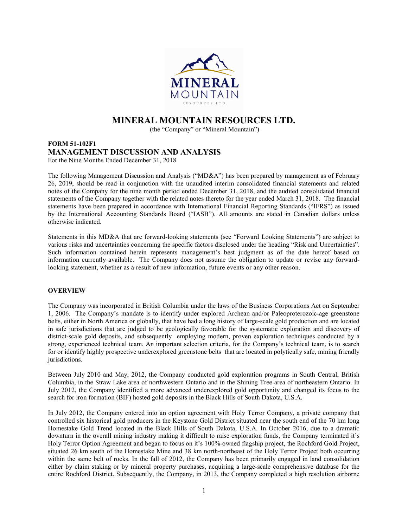

# MINERAL MOUNTAIN RESOURCES LTD.

(the "Company" or "Mineral Mountain")

# FORM 51-102F1 MANAGEMENT DISCUSSION AND ANALYSIS For the Nine Months Ended December 31, 2018

The following Management Discussion and Analysis ("MD&A") has been prepared by management as of February 26, 2019, should be read in conjunction with the unaudited interim consolidated financial statements and related notes of the Company for the nine month period ended December 31, 2018, and the audited consolidated financial statements of the Company together with the related notes thereto for the year ended March 31, 2018. The financial statements have been prepared in accordance with International Financial Reporting Standards ("IFRS") as issued by the International Accounting Standards Board ("IASB"). All amounts are stated in Canadian dollars unless otherwise indicated.

Statements in this MD&A that are forward-looking statements (see "Forward Looking Statements") are subject to various risks and uncertainties concerning the specific factors disclosed under the heading "Risk and Uncertainties". Such information contained herein represents management's best judgment as of the date hereof based on information currently available. The Company does not assume the obligation to update or revise any forwardlooking statement, whether as a result of new information, future events or any other reason.

# **OVERVIEW**

The Company was incorporated in British Columbia under the laws of the Business Corporations Act on September 1, 2006. The Company's mandate is to identify under explored Archean and/or Paleoproterozoic-age greenstone belts, either in North America or globally, that have had a long history of large-scale gold production and are located in safe jurisdictions that are judged to be geologically favorable for the systematic exploration and discovery of district-scale gold deposits, and subsequently employing modern, proven exploration techniques conducted by a strong, experienced technical team. An important selection criteria, for the Company's technical team, is to search for or identify highly prospective underexplored greenstone belts that are located in polytically safe, mining friendly jurisdictions.

Between July 2010 and May, 2012, the Company conducted gold exploration programs in South Central, British Columbia, in the Straw Lake area of northwestern Ontario and in the Shining Tree area of northeastern Ontario. In July 2012, the Company identified a more advanced underexplored gold opportunity and changed its focus to the search for iron formation (BIF) hosted gold deposits in the Black Hills of South Dakota, U.S.A.

In July 2012, the Company entered into an option agreement with Holy Terror Company, a private company that controlled six historical gold producers in the Keystone Gold District situated near the south end of the 70 km long Homestake Gold Trend located in the Black Hills of South Dakota, U.S.A. In October 2016, due to a dramatic downturn in the overall mining industry making it difficult to raise exploration funds, the Company terminated it's Holy Terror Option Agreement and began to focus on it's 100%-owned flagship project, the Rochford Gold Project, situated 26 km south of the Homestake Mine and 38 km north-northeast of the Holy Terror Project both occurring within the same belt of rocks. In the fall of 2012, the Company has been primarily engaged in land consolidation either by claim staking or by mineral property purchases, acquiring a large-scale comprehensive database for the entire Rochford District. Subsequently, the Company, in 2013, the Company completed a high resolution airborne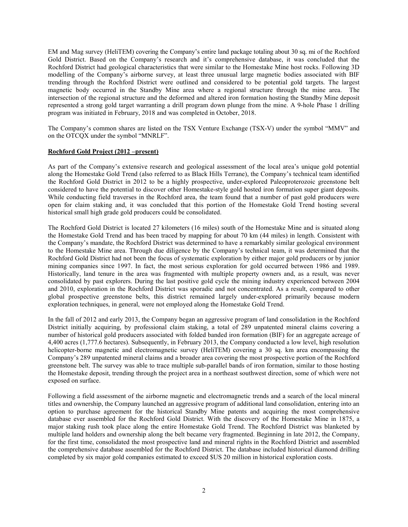EM and Mag survey (HeliTEM) covering the Company's entire land package totaling about 30 sq. mi of the Rochford Gold District. Based on the Company's research and it's comprehensive database, it was concluded that the Rochford District had geological characteristics that were similar to the Homestake Mine host rocks. Following 3D modelling of the Company's airborne survey, at least three unusual large magnetic bodies associated with BIF trending through the Rochford District were outlined and considered to be potential gold targets. The largest magnetic body occurred in the Standby Mine area where a regional structure through the mine area. The intersection of the regional structure and the deformed and altered iron formation hosting the Standby Mine deposit represented a strong gold target warranting a drill program down plunge from the mine. A 9-hole Phase 1 drilling program was initiated in February, 2018 and was completed in October, 2018.

The Company's common shares are listed on the TSX Venture Exchange (TSX-V) under the symbol "MMV" and on the OTCQX under the symbol "MNRLF".

## Rochford Gold Project (2012 –present)

As part of the Company's extensive research and geological assessment of the local area's unique gold potential along the Homestake Gold Trend (also referred to as Black Hills Terrane), the Company's technical team identified the Rochford Gold District in 2012 to be a highly prospective, under-explored Paleoproterozoic greenstone belt considered to have the potential to discover other Homestake-style gold hosted iron formation super giant deposits. While conducting field traverses in the Rochford area, the team found that a number of past gold producers were open for claim staking and, it was concluded that this portion of the Homestake Gold Trend hosting several historical small high grade gold producers could be consolidated.

The Rochford Gold District is located 27 kilometers (16 miles) south of the Homestake Mine and is situated along the Homestake Gold Trend and has been traced by mapping for about 70 km (44 miles) in length. Consistent with the Company's mandate, the Rochford District was determined to have a remarkably similar geological environment to the Homestake Mine area. Through due diligence by the Company's technical team, it was determined that the Rochford Gold District had not been the focus of systematic exploration by either major gold producers or by junior mining companies since 1997. In fact, the most serious exploration for gold occurred between 1986 and 1989. Historically, land tenure in the area was fragmented with multiple property owners and, as a result, was never consolidated by past explorers. During the last positive gold cycle the mining industry experienced between 2004 and 2010, exploration in the Rochford District was sporadic and not concentrated. As a result, compared to other global prospective greenstone belts, this district remained largely under-explored primarily because modern exploration techniques, in general, were not employed along the Homestake Gold Trend.

In the fall of 2012 and early 2013, the Company began an aggressive program of land consolidation in the Rochford District initially acquiring, by professional claim staking, a total of 289 unpatented mineral claims covering a number of historical gold producers associated with folded banded iron formation (BIF) for an aggregate acreage of 4,400 acres (1,777.6 hectares). Subsequently, in February 2013, the Company conducted a low level, high resolution helicopter-borne magnetic and electromagnetic survey (HeliTEM) covering a 30 sq. km area encompassing the Company's 289 unpatented mineral claims and a broader area covering the most prospective portion of the Rochford greenstone belt. The survey was able to trace multiple sub-parallel bands of iron formation, similar to those hosting the Homestake deposit, trending through the project area in a northeast southwest direction, some of which were not exposed on surface.

Following a field assessment of the airborne magnetic and electromagnetic trends and a search of the local mineral titles and ownership, the Company launched an aggressive program of additional land consolidation, entering into an option to purchase agreement for the historical Standby Mine patents and acquiring the most comprehensive database ever assembled for the Rochford Gold District. With the discovery of the Homestake Mine in 1875, a major staking rush took place along the entire Homestake Gold Trend. The Rochford District was blanketed by multiple land holders and ownership along the belt became very fragmented. Beginning in late 2012, the Company, for the first time, consolidated the most prospective land and mineral rights in the Rochford District and assembled the comprehensive database assembled for the Rochford District. The database included historical diamond drilling completed by six major gold companies estimated to exceed \$US 20 million in historical exploration costs.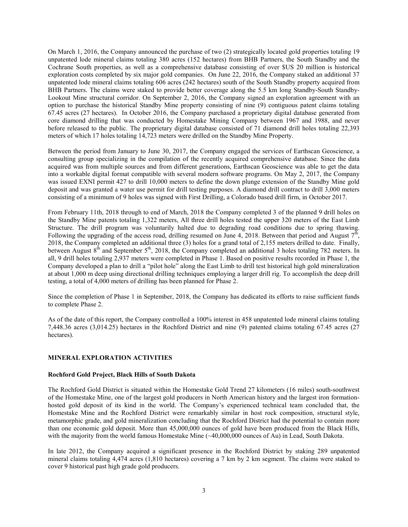On March 1, 2016, the Company announced the purchase of two (2) strategically located gold properties totaling 19 unpatented lode mineral claims totaling 380 acres (152 hectares) from BHB Partners, the South Standby and the Cochrane South properties, as well as a comprehensive database consisting of over \$US 20 million is historical exploration costs completed by six major gold companies. On June 22, 2016, the Company staked an additional 37 unpatented lode mineral claims totaling 606 acres (242 hectares) south of the South Standby property acquired from BHB Partners. The claims were staked to provide better coverage along the 5.5 km long Standby-South Standby-Lookout Mine structural corridor. On September 2, 2016, the Company signed an exploration agreement with an option to purchase the historical Standby Mine property consisting of nine (9) contiguous patent claims totaling 67.45 acres (27 hectares). In October 2016, the Company purchased a proprietary digital database generated from core diamond drilling that was conducted by Homestake Mining Company between 1967 and 1988, and never before released to the public. The proprietary digital database consisted of 71 diamond drill holes totaling 22,393 meters of which 17 holes totaling 14,723 meters were drilled on the Standby Mine Property.

Between the period from January to June 30, 2017, the Company engaged the services of Earthscan Geoscience, a consulting group specializing in the compilation of the recently acquired comprehensive database. Since the data acquired was from multiple sources and from different generations, Earthscan Geoscience was able to get the data into a workable digital format compatible with several modern software programs. On May 2, 2017, the Company was issued EXNI permit 427 to drill 10,000 meters to define the down plunge extension of the Standby Mine gold deposit and was granted a water use permit for drill testing purposes. A diamond drill contract to drill 3,000 meters consisting of a minimum of 9 holes was signed with First Drilling, a Colorado based drill firm, in October 2017.

From February 11th, 2018 through to end of March, 2018 the Company completed 3 of the planned 9 drill holes on the Standby Mine patents totaling 1,322 meters, All three drill holes tested the upper 320 meters of the East Limb Structure. The drill program was voluntarily halted due to degrading road conditions due to spring thawing. Following the upgrading of the access road, drilling resumed on June 4, 2018. Between that period and August  $7^{\text{th}}$ , 2018, the Company completed an additional three (3) holes for a grand total of 2,155 meters drilled to date. Finally, between August  $8<sup>th</sup>$  and September  $5<sup>th</sup>$ , 2018, the Company completed an additional 3 holes totaling 782 meters. In all, 9 drill holes totaling 2,937 meters were completed in Phase 1. Based on positive results recorded in Phase 1, the Company developed a plan to drill a "pilot hole" along the East Limb to drill test historical high gold mineralization at about 1,000 m deep using directional drilling techniques employing a larger drill rig. To accomplish the deep drill testing, a total of 4,000 meters of drilling has been planned for Phase 2.

Since the completion of Phase 1 in September, 2018, the Company has dedicated its efforts to raise sufficient funds to complete Phase 2.

As of the date of this report, the Company controlled a 100% interest in 458 unpatented lode mineral claims totaling 7,448.36 acres (3,014.25) hectares in the Rochford District and nine (9) patented claims totaling 67.45 acres (27 hectares).

# MINERAL EXPLORATION ACTIVITIES

#### Rochford Gold Project, Black Hills of South Dakota

The Rochford Gold District is situated within the Homestake Gold Trend 27 kilometers (16 miles) south-southwest of the Homestake Mine, one of the largest gold producers in North American history and the largest iron formationhosted gold deposit of its kind in the world. The Company's experienced technical team concluded that, the Homestake Mine and the Rochford District were remarkably similar in host rock composition, structural style, metamorphic grade, and gold mineralization concluding that the Rochford District had the potential to contain more than one economic gold deposit. More than 45,000,000 ounces of gold have been produced from the Black Hills, with the majority from the world famous Homestake Mine (~40,000,000 ounces of Au) in Lead, South Dakota.

In late 2012, the Company acquired a significant presence in the Rochford District by staking 289 unpatented mineral claims totaling 4,474 acres (1,810 hectares) covering a 7 km by 2 km segment. The claims were staked to cover 9 historical past high grade gold producers.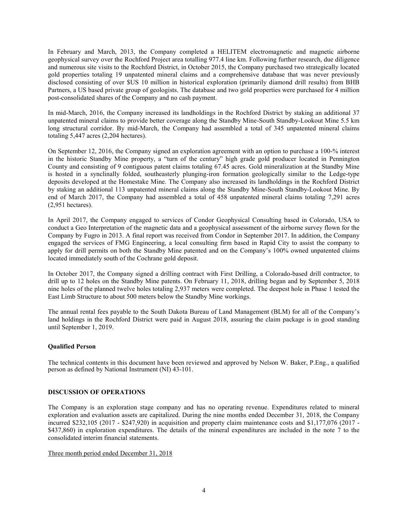In February and March, 2013, the Company completed a HELITEM electromagnetic and magnetic airborne geophysical survey over the Rochford Project area totalling 977.4 line km. Following further research, due diligence and numerous site visits to the Rochford District, in October 2015, the Company purchased two strategically located gold properties totaling 19 unpatented mineral claims and a comprehensive database that was never previously disclosed consisting of over \$US 10 million in historical exploration (primarily diamond drill results) from BHB Partners, a US based private group of geologists. The database and two gold properties were purchased for 4 million post-consolidated shares of the Company and no cash payment.

In mid-March, 2016, the Company increased its landholdings in the Rochford District by staking an additional 37 unpatented mineral claims to provide better coverage along the Standby Mine-South Standby-Lookout Mine 5.5 km long structural corridor. By mid-March, the Company had assembled a total of 345 unpatented mineral claims totaling 5,447 acres (2,204 hectares).

On September 12, 2016, the Company signed an exploration agreement with an option to purchase a 100-% interest in the historic Standby Mine property, a "turn of the century" high grade gold producer located in Pennington County and consisting of 9 contiguous patent claims totaling 67.45 acres. Gold mineralization at the Standby Mine is hosted in a synclinally folded, southeasterly plunging-iron formation geologically similar to the Ledge-type deposits developed at the Homestake Mine. The Company also increased its landholdings in the Rochford District by staking an additional 113 unpatented mineral claims along the Standby Mine-South Standby-Lookout Mine. By end of March 2017, the Company had assembled a total of 458 unpatented mineral claims totaling 7,291 acres (2,951 hectares).

In April 2017, the Company engaged to services of Condor Geophysical Consulting based in Colorado, USA to conduct a Geo Interpretation of the magnetic data and a geophysical assessment of the airborne survey flown for the Company by Fugro in 2013. A final report was received from Condor in September 2017. In addition, the Company engaged the services of FMG Engineering, a local consulting firm based in Rapid City to assist the company to apply for drill permits on both the Standby Mine patented and on the Company's 100% owned unpatented claims located immediately south of the Cochrane gold deposit.

In October 2017, the Company signed a drilling contract with First Drilling, a Colorado-based drill contractor, to drill up to 12 holes on the Standby Mine patents. On February 11, 2018, drilling began and by September 5, 2018 nine holes of the planned twelve holes totaling 2,937 meters were completed. The deepest hole in Phase 1 tested the East Limb Structure to about 500 meters below the Standby Mine workings.

The annual rental fees payable to the South Dakota Bureau of Land Management (BLM) for all of the Company's land holdings in the Rochford District were paid in August 2018, assuring the claim package is in good standing until September 1, 2019.

# Qualified Person

The technical contents in this document have been reviewed and approved by Nelson W. Baker, P.Eng., a qualified person as defined by National Instrument (NI) 43-101.

## DISCUSSION OF OPERATIONS

The Company is an exploration stage company and has no operating revenue. Expenditures related to mineral exploration and evaluation assets are capitalized. During the nine months ended December 31, 2018, the Company incurred \$232,105 (2017 - \$247,920) in acquisition and property claim maintenance costs and \$1,177,076 (2017 - \$437,860) in exploration expenditures. The details of the mineral expenditures are included in the note 7 to the consolidated interim financial statements.

Three month period ended December 31, 2018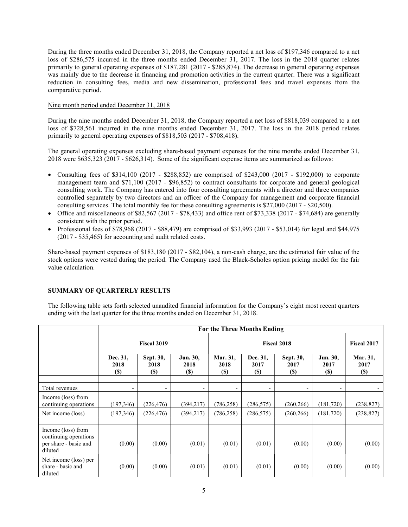During the three months ended December 31, 2018, the Company reported a net loss of \$197,346 compared to a net loss of \$286,575 incurred in the three months ended December 31, 2017. The loss in the 2018 quarter relates primarily to general operating expenses of \$187,281 (2017 - \$285,874). The decrease in general operating expenses was mainly due to the decrease in financing and promotion activities in the current quarter. There was a significant reduction in consulting fees, media and new dissemination, professional fees and travel expenses from the comparative period.

## Nine month period ended December 31, 2018

During the nine months ended December 31, 2018, the Company reported a net loss of \$818,039 compared to a net loss of \$728,561 incurred in the nine months ended December 31, 2017. The loss in the 2018 period relates primarily to general operating expenses of \$818,503 (2017 - \$708,418).

The general operating expenses excluding share-based payment expenses for the nine months ended December 31, 2018 were \$635,323 (2017 - \$626,314). Some of the significant expense items are summarized as follows:

- Consulting fees of \$314,100 (2017 \$288,852) are comprised of \$243,000 (2017 \$192,000) to corporate management team and \$71,100 (2017 - \$96,852) to contract consultants for corporate and general geological consulting work. The Company has entered into four consulting agreements with a director and three companies controlled separately by two directors and an officer of the Company for management and corporate financial consulting services. The total monthly fee for these consulting agreements is \$27,000 (2017 - \$20,500).
- Office and miscellaneous of  $$82,567 (2017 $78,433)$  and office rent of  $$73,338 (2017 $74,684)$  are generally consistent with the prior period.
- Professional fees of \$78,968 (2017 \$88,479) are comprised of \$33,993 (2017 \$53,014) for legal and \$44,975 (2017 - \$35,465) for accounting and audit related costs.

Share-based payment expenses of \$183,180 (2017 - \$82,104), a non-cash charge, are the estimated fair value of the stock options were vested during the period. The Company used the Black-Scholes option pricing model for the fair value calculation.

# SUMMARY OF QUARTERLY RESULTS

The following table sets forth selected unaudited financial information for the Company's eight most recent quarters ending with the last quarter for the three months ended on December 31, 2018.

|                                                                                 | For the Three Months Ending |                          |                          |                            |                          |                          |                            |                            |
|---------------------------------------------------------------------------------|-----------------------------|--------------------------|--------------------------|----------------------------|--------------------------|--------------------------|----------------------------|----------------------------|
|                                                                                 | Fiscal 2019                 |                          |                          | <b>Fiscal 2018</b>         |                          |                          |                            | <b>Fiscal 2017</b>         |
|                                                                                 | Dec. 31,<br>2018            | Sept. 30,<br>2018        | Jun. 30,<br>2018         | Mar. 31,<br>2018           | Dec. 31.<br>2017         | Sept. 30,<br>2017        | Jun. 30,<br>2017           | Mar. 31,<br>2017           |
|                                                                                 | <b>(\$)</b>                 | <b>(\$)</b>              | <b>(\$)</b>              | $\left( \mathbb{S}\right)$ | <b>(\$)</b>              | <b>(\$)</b>              | $\left( \mathbb{S}\right)$ | $\left( \mathbb{S}\right)$ |
| Total revenues                                                                  | $\overline{\phantom{a}}$    | $\overline{\phantom{a}}$ | $\overline{\phantom{0}}$ | -                          | $\overline{\phantom{a}}$ | $\overline{\phantom{a}}$ | $\overline{\phantom{a}}$   |                            |
| Income (loss) from<br>continuing operations                                     | (197,346)                   | (226, 476)               | (394, 217)               | (786, 258)                 | (286, 575)               | (260, 266)               | (181,720)                  | (238, 827)                 |
| Net income (loss)                                                               | (197,346)                   | (226, 476)               | (394, 217)               | (786, 258)                 | (286, 575)               | (260, 266)               | (181, 720)                 | (238, 827)                 |
|                                                                                 |                             |                          |                          |                            |                          |                          |                            |                            |
| Income (loss) from<br>continuing operations<br>per share - basic and<br>diluted | (0.00)                      | (0.00)                   | (0.01)                   | (0.01)                     | (0.01)                   | (0.00)                   | (0.00)                     | (0.00)                     |
| Net income (loss) per<br>share - basic and<br>diluted                           | (0.00)                      | (0.00)                   | (0.01)                   | (0.01)                     | (0.01)                   | (0.00)                   | (0.00)                     | (0.00)                     |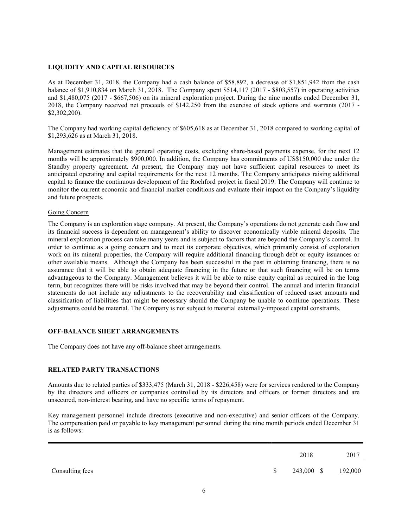## LIQUIDITY AND CAPITAL RESOURCES

As at December 31, 2018, the Company had a cash balance of \$58,892, a decrease of \$1,851,942 from the cash balance of \$1,910,834 on March 31, 2018. The Company spent \$514,117 (2017 - \$803,557) in operating activities and \$1,480,075 (2017 - \$667,506) on its mineral exploration project. During the nine months ended December 31, 2018, the Company received net proceeds of \$142,250 from the exercise of stock options and warrants (2017 - \$2,302,200).

The Company had working capital deficiency of \$605,618 as at December 31, 2018 compared to working capital of \$1,293,626 as at March 31, 2018.

Management estimates that the general operating costs, excluding share-based payments expense, for the next 12 months will be approximately \$900,000. In addition, the Company has commitments of US\$150,000 due under the Standby property agreement. At present, the Company may not have sufficient capital resources to meet its anticipated operating and capital requirements for the next 12 months. The Company anticipates raising additional capital to finance the continuous development of the Rochford project in fiscal 2019. The Company will continue to monitor the current economic and financial market conditions and evaluate their impact on the Company's liquidity and future prospects.

#### Going Concern

The Company is an exploration stage company. At present, the Company's operations do not generate cash flow and its financial success is dependent on management's ability to discover economically viable mineral deposits. The mineral exploration process can take many years and is subject to factors that are beyond the Company's control. In order to continue as a going concern and to meet its corporate objectives, which primarily consist of exploration work on its mineral properties, the Company will require additional financing through debt or equity issuances or other available means. Although the Company has been successful in the past in obtaining financing, there is no assurance that it will be able to obtain adequate financing in the future or that such financing will be on terms advantageous to the Company. Management believes it will be able to raise equity capital as required in the long term, but recognizes there will be risks involved that may be beyond their control. The annual and interim financial statements do not include any adjustments to the recoverability and classification of reduced asset amounts and classification of liabilities that might be necessary should the Company be unable to continue operations. These adjustments could be material. The Company is not subject to material externally-imposed capital constraints.

# OFF-BALANCE SHEET ARRANGEMENTS

The Company does not have any off-balance sheet arrangements.

#### RELATED PARTY TRANSACTIONS

Amounts due to related parties of \$333,475 (March 31, 2018 - \$226,458) were for services rendered to the Company by the directors and officers or companies controlled by its directors and officers or former directors and are unsecured, non-interest bearing, and have no specific terms of repayment.

Key management personnel include directors (executive and non-executive) and senior officers of the Company. The compensation paid or payable to key management personnel during the nine month periods ended December 31 is as follows:

|                 |              | 2018       | 2017    |
|-----------------|--------------|------------|---------|
| Consulting fees | <sup>S</sup> | 243,000 \$ | 192,000 |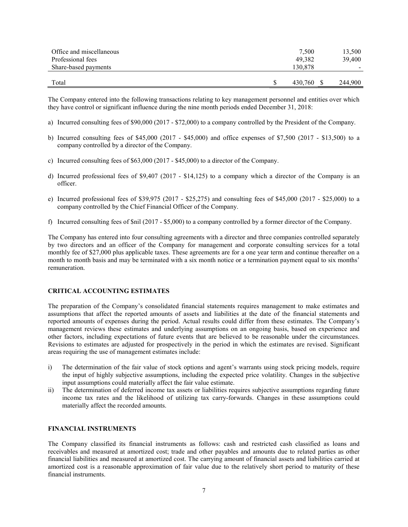| Office and miscellaneous<br>Professional fees<br>Share-based payments | 7,500<br>49.382<br>130,878 | 13,500<br>39,400 |
|-----------------------------------------------------------------------|----------------------------|------------------|
| Total                                                                 | 430.760                    | 244,900          |

The Company entered into the following transactions relating to key management personnel and entities over which they have control or significant influence during the nine month periods ended December 31, 2018:

- a) Incurred consulting fees of \$90,000 (2017 \$72,000) to a company controlled by the President of the Company.
- b) Incurred consulting fees of \$45,000 (2017 \$45,000) and office expenses of \$7,500 (2017 \$13,500) to a company controlled by a director of the Company.
- c) Incurred consulting fees of \$63,000 (2017 \$45,000) to a director of the Company.
- d) Incurred professional fees of \$9,407 (2017 \$14,125) to a company which a director of the Company is an officer.
- e) Incurred professional fees of \$39,975 (2017 \$25,275) and consulting fees of \$45,000 (2017 \$25,000) to a company controlled by the Chief Financial Officer of the Company.
- f) Incurred consulting fees of \$nil (2017 \$5,000) to a company controlled by a former director of the Company.

The Company has entered into four consulting agreements with a director and three companies controlled separately by two directors and an officer of the Company for management and corporate consulting services for a total monthly fee of \$27,000 plus applicable taxes. These agreements are for a one year term and continue thereafter on a month to month basis and may be terminated with a six month notice or a termination payment equal to six months' remuneration.

## CRITICAL ACCOUNTING ESTIMATES

The preparation of the Company's consolidated financial statements requires management to make estimates and assumptions that affect the reported amounts of assets and liabilities at the date of the financial statements and reported amounts of expenses during the period. Actual results could differ from these estimates. The Company's management reviews these estimates and underlying assumptions on an ongoing basis, based on experience and other factors, including expectations of future events that are believed to be reasonable under the circumstances. Revisions to estimates are adjusted for prospectively in the period in which the estimates are revised. Significant areas requiring the use of management estimates include:

- i) The determination of the fair value of stock options and agent's warrants using stock pricing models, require the input of highly subjective assumptions, including the expected price volatility. Changes in the subjective input assumptions could materially affect the fair value estimate.
- ii) The determination of deferred income tax assets or liabilities requires subjective assumptions regarding future income tax rates and the likelihood of utilizing tax carry-forwards. Changes in these assumptions could materially affect the recorded amounts.

#### FINANCIAL INSTRUMENTS

The Company classified its financial instruments as follows: cash and restricted cash classified as loans and receivables and measured at amortized cost; trade and other payables and amounts due to related parties as other financial liabilities and measured at amortized cost. The carrying amount of financial assets and liabilities carried at amortized cost is a reasonable approximation of fair value due to the relatively short period to maturity of these financial instruments.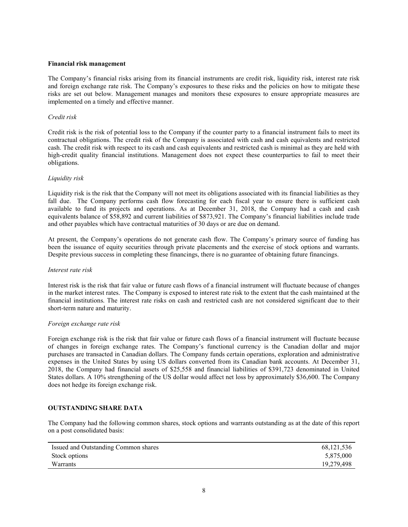#### Financial risk management

The Company's financial risks arising from its financial instruments are credit risk, liquidity risk, interest rate risk and foreign exchange rate risk. The Company's exposures to these risks and the policies on how to mitigate these risks are set out below. Management manages and monitors these exposures to ensure appropriate measures are implemented on a timely and effective manner.

## Credit risk

Credit risk is the risk of potential loss to the Company if the counter party to a financial instrument fails to meet its contractual obligations. The credit risk of the Company is associated with cash and cash equivalents and restricted cash. The credit risk with respect to its cash and cash equivalents and restricted cash is minimal as they are held with high-credit quality financial institutions. Management does not expect these counterparties to fail to meet their obligations.

## Liquidity risk

Liquidity risk is the risk that the Company will not meet its obligations associated with its financial liabilities as they fall due. The Company performs cash flow forecasting for each fiscal year to ensure there is sufficient cash available to fund its projects and operations. As at December 31, 2018, the Company had a cash and cash equivalents balance of \$58,892 and current liabilities of \$873,921. The Company's financial liabilities include trade and other payables which have contractual maturities of 30 days or are due on demand.

At present, the Company's operations do not generate cash flow. The Company's primary source of funding has been the issuance of equity securities through private placements and the exercise of stock options and warrants. Despite previous success in completing these financings, there is no guarantee of obtaining future financings.

#### Interest rate risk

Interest risk is the risk that fair value or future cash flows of a financial instrument will fluctuate because of changes in the market interest rates. The Company is exposed to interest rate risk to the extent that the cash maintained at the financial institutions. The interest rate risks on cash and restricted cash are not considered significant due to their short-term nature and maturity.

#### Foreign exchange rate risk

Foreign exchange risk is the risk that fair value or future cash flows of a financial instrument will fluctuate because of changes in foreign exchange rates. The Company's functional currency is the Canadian dollar and major purchases are transacted in Canadian dollars. The Company funds certain operations, exploration and administrative expenses in the United States by using US dollars converted from its Canadian bank accounts. At December 31, 2018, the Company had financial assets of \$25,558 and financial liabilities of \$391,723 denominated in United States dollars. A 10% strengthening of the US dollar would affect net loss by approximately \$36,600. The Company does not hedge its foreign exchange risk.

# OUTSTANDING SHARE DATA

The Company had the following common shares, stock options and warrants outstanding as at the date of this report on a post consolidated basis:

| Issued and Outstanding Common shares | 68,121,536 |
|--------------------------------------|------------|
| Stock options                        | 5,875,000  |
| Warrants                             | 19,279,498 |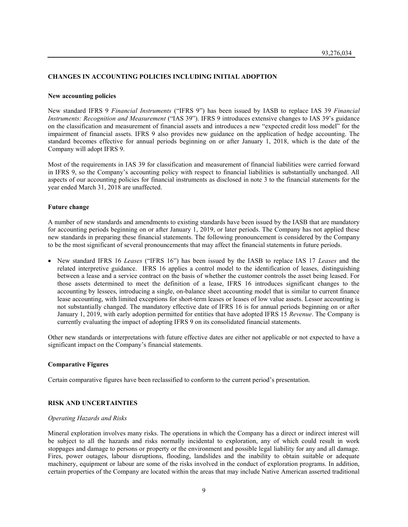## CHANGES IN ACCOUNTING POLICIES INCLUDING INITIAL ADOPTION

#### New accounting policies

New standard IFRS 9 Financial Instruments ("IFRS 9") has been issued by IASB to replace IAS 39 Financial Instruments: Recognition and Measurement ("IAS 39"). IFRS 9 introduces extensive changes to IAS 39's guidance on the classification and measurement of financial assets and introduces a new "expected credit loss model" for the impairment of financial assets. IFRS 9 also provides new guidance on the application of hedge accounting. The standard becomes effective for annual periods beginning on or after January 1, 2018, which is the date of the Company will adopt IFRS 9.

Most of the requirements in IAS 39 for classification and measurement of financial liabilities were carried forward in IFRS 9, so the Company's accounting policy with respect to financial liabilities is substantially unchanged. All aspects of our accounting policies for financial instruments as disclosed in note 3 to the financial statements for the year ended March 31, 2018 are unaffected.

#### Future change

A number of new standards and amendments to existing standards have been issued by the IASB that are mandatory for accounting periods beginning on or after January 1, 2019, or later periods. The Company has not applied these new standards in preparing these financial statements. The following pronouncement is considered by the Company to be the most significant of several pronouncements that may affect the financial statements in future periods.

• New standard IFRS 16 Leases ("IFRS 16") has been issued by the IASB to replace IAS 17 Leases and the related interpretive guidance. IFRS 16 applies a control model to the identification of leases, distinguishing between a lease and a service contract on the basis of whether the customer controls the asset being leased. For those assets determined to meet the definition of a lease, IFRS 16 introduces significant changes to the accounting by lessees, introducing a single, on-balance sheet accounting model that is similar to current finance lease accounting, with limited exceptions for short-term leases or leases of low value assets. Lessor accounting is not substantially changed. The mandatory effective date of IFRS 16 is for annual periods beginning on or after January 1, 2019, with early adoption permitted for entities that have adopted IFRS 15 Revenue. The Company is currently evaluating the impact of adopting IFRS 9 on its consolidated financial statements.

Other new standards or interpretations with future effective dates are either not applicable or not expected to have a significant impact on the Company's financial statements.

#### Comparative Figures

Certain comparative figures have been reclassified to conform to the current period's presentation.

#### RISK AND UNCERTAINTIES

#### Operating Hazards and Risks

Mineral exploration involves many risks. The operations in which the Company has a direct or indirect interest will be subject to all the hazards and risks normally incidental to exploration, any of which could result in work stoppages and damage to persons or property or the environment and possible legal liability for any and all damage. Fires, power outages, labour disruptions, flooding, landslides and the inability to obtain suitable or adequate machinery, equipment or labour are some of the risks involved in the conduct of exploration programs. In addition, certain properties of the Company are located within the areas that may include Native American asserted traditional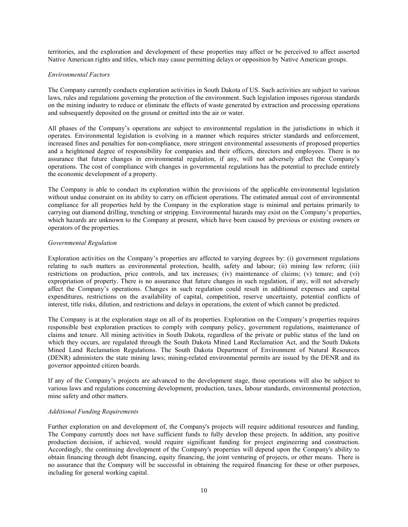territories, and the exploration and development of these properties may affect or be perceived to affect asserted Native American rights and titles, which may cause permitting delays or opposition by Native American groups.

#### Environmental Factors

The Company currently conducts exploration activities in South Dakota of US. Such activities are subject to various laws, rules and regulations governing the protection of the environment. Such legislation imposes rigorous standards on the mining industry to reduce or eliminate the effects of waste generated by extraction and processing operations and subsequently deposited on the ground or emitted into the air or water.

All phases of the Company's operations are subject to environmental regulation in the jurisdictions in which it operates. Environmental legislation is evolving in a manner which requires stricter standards and enforcement, increased fines and penalties for non-compliance, more stringent environmental assessments of proposed properties and a heightened degree of responsibility for companies and their officers, directors and employees. There is no assurance that future changes in environmental regulation, if any, will not adversely affect the Company's operations. The cost of compliance with changes in governmental regulations has the potential to preclude entirely the economic development of a property.

The Company is able to conduct its exploration within the provisions of the applicable environmental legislation without undue constraint on its ability to carry on efficient operations. The estimated annual cost of environmental compliance for all properties held by the Company in the exploration stage is minimal and pertains primarily to carrying out diamond drilling, trenching or stripping. Environmental hazards may exist on the Company's properties, which hazards are unknown to the Company at present, which have been caused by previous or existing owners or operators of the properties.

#### Governmental Regulation

Exploration activities on the Company's properties are affected to varying degrees by: (i) government regulations relating to such matters as environmental protection, health, safety and labour; (ii) mining law reform; (iii) restrictions on production, price controls, and tax increases; (iv) maintenance of claims; (v) tenure; and (vi) expropriation of property. There is no assurance that future changes in such regulation, if any, will not adversely affect the Company's operations. Changes in such regulation could result in additional expenses and capital expenditures, restrictions on the availability of capital, competition, reserve uncertainty, potential conflicts of interest, title risks, dilution, and restrictions and delays in operations, the extent of which cannot be predicted.

The Company is at the exploration stage on all of its properties. Exploration on the Company's properties requires responsible best exploration practices to comply with company policy, government regulations, maintenance of claims and tenure. All mining activities in South Dakota, regardless of the private or public status of the land on which they occurs, are regulated through the South Dakota Mined Land Reclamation Act, and the South Dakota Mined Land Reclamation Regulations. The South Dakota Department of Environment of Natural Resources (DENR) administers the state mining laws; mining-related environmental permits are issued by the DENR and its governor appointed citizen boards.

If any of the Company's projects are advanced to the development stage, those operations will also be subject to various laws and regulations concerning development, production, taxes, labour standards, environmental protection, mine safety and other matters.

#### Additional Funding Requirements

Further exploration on and development of, the Company's projects will require additional resources and funding. The Company currently does not have sufficient funds to fully develop these projects. In addition, any positive production decision, if achieved, would require significant funding for project engineering and construction. Accordingly, the continuing development of the Company's properties will depend upon the Company's ability to obtain financing through debt financing, equity financing, the joint venturing of projects, or other means. There is no assurance that the Company will be successful in obtaining the required financing for these or other purposes, including for general working capital.